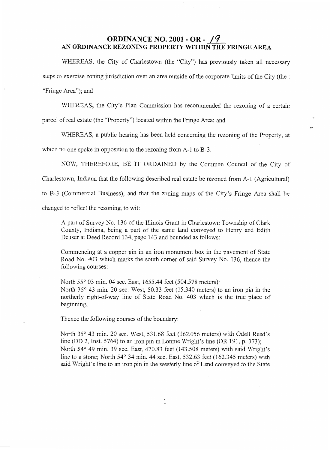## **ORDINANCE NO. 2001 - OR - /9 AN ORDINANCE REZONING PROPERTY WITHIN THE FRINGE AREA**

WHEREAS, the City of Charlestown (the "City") has previously taken all necessary steps to exercise zoning jurisdiction over an area outside of the corporate limits of the City (the : "Fringe Area"); and

WHEREAS, the City's Plan Commission has recommended the rezoning of a certain

parcel of real estate (the "Property") located within the Fringe Area; and

WHEREAS, a public hearing has been held concerning the rezoning of the Property, at

**s-**

which no one spoke in opposition to the rezoning from A-1 to B-3.

NOW, THEREFORE, BE IT ORDAINED by the Common Council of the City of

Charlestown, Indiana that the following described real estate be rezoned from A-1 (Agricultural)

to B-3 (Commercial Business), and that the zoning maps of the City's Fringe Area shall be

changed to reflect the rezoning, to wit:

**A** part of Survey No. 136 of the Illinois Grant in Charlestown Township of Clark County, Indiana, being a part of the same land conveyed to Henry and Edith Deuser at Deed Record 134, page 143 and bounded as follows:

Commencing at a copper pin in an iron monument box in the pavement of State Road No. 403 which marks the south comer of said Survey No. 136, thence the following courses:

North 55° 03 min. 04 sec. East, 1655.44 feet (504.578 meters); North 35° 43 min. 20 sec. West, 50.33 feet (15.340 meters) to an iron pin in the northerly right-of-way line of State Road No. 403 which is the true place of beginning,

Thence the following courses of the boundary:

North 35° 43 min. 20 sec. West, 531.68 feet (162.056 meters) with Odell Reed's line (DD 2, Inst. 5764) to an iron pin in Lonnie Wright's line (DR 191, p. 373); North 54° 49 min. 39 sec. East, 470.83 feet (143.508 meters) with said Wright's line to a stone; North  $54^{\circ}$  34 min. 44 sec. East,  $532.63$  feet (162.345 meters) with said Wright's line to an iron pin in the westerly line of Land conveyed to the State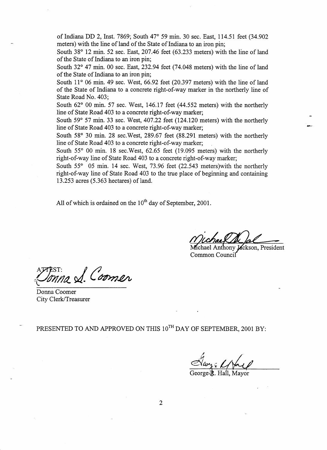of Indiana DD 2, Inst. 7869; South 47" 59 min. 30 sec. East, 114.51 feet (34.902 meters) with the line of land of the State of Indiana to **an** iron pin;

South 38" 12 min. 52 sec. East, 207.46 feet (63.233 meters) with the line of land of the State of Indiana to an iron pin;

South 32° 47 min. 00 sec. East, 232.94 feet (74.048 meters) with the line of land of the State of Indiana to an iron pin;

South  $11^{\circ}$  06 min. 49 sec. West, 66.92 feet (20.397 meters) with the line of land of the State of Indiana to a concrete right-of-way marker in the northerly line of State Road No. 403;

South 62° 00 min. 57 sec. West, 146.17 feet (44.552 meters) with the northerly line of State Road 403 to a concrete right-of-way marker; *<sup>c</sup>*

South  $59^{\circ}$  57 min. 33 sec. West, 407.22 feet (124.120 meters) with the northerly line of State Road 403 to a concrete right-of-way marker;

South 58° 30 min. 28 sec. West, 289.67 feet (88.291 meters) with the northerly line of State Road 403 to a concrete right-of-way marker;

South *55"* 00 min. 18 sec.West, 62.65 feet (19.095 meters) with the northerly right-of-way line of State Road 403 to a concrete right-of-way marker;

South 55° 05 min. 14 sec. West, 73.96 feet (22.543 meters) with the northerly right-of-way line of State Road 403 to the true place of beginning and containing 13.253 acres (5.363 hectares) of land.

All of which is ordained on the  $10^{th}$  day of September, 2001.

*P-*

Jackson, President Common Council

Donna *Donna S.* Coomer

Donna Coomer City Clerk/Treasurer

PRESENTED TO AND APPROVED ON THIS  $10^{TH}$  DAY OF SEPTEMBER, 2001 BY:

George Hall

George B. Hall, Mayor

2